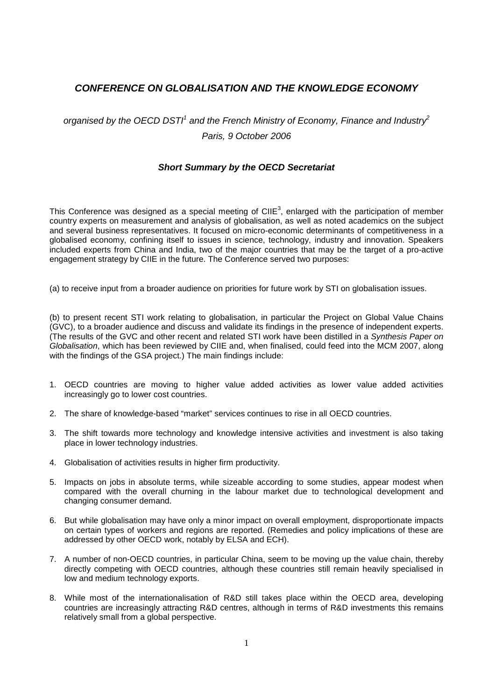## *CONFERENCE ON GLOBALISATION AND THE KNOWLEDGE ECONOMY*

## organised by the OECD DSTI<sup>1</sup> and the French Ministry of Economy, Finance and Industry<sup>2</sup> *Paris, 9 October 2006*

## *Short Summary by the OECD Secretariat*

This Conference was designed as a special meeting of CIIE<sup>3</sup>, enlarged with the participation of member country experts on measurement and analysis of globalisation, as well as noted academics on the subject and several business representatives. It focused on micro-economic determinants of competitiveness in a globalised economy, confining itself to issues in science, technology, industry and innovation. Speakers included experts from China and India, two of the major countries that may be the target of a pro-active engagement strategy by CIIE in the future. The Conference served two purposes:

(a) to receive input from a broader audience on priorities for future work by STI on globalisation issues.

(b) to present recent STI work relating to globalisation, in particular the Project on Global Value Chains (GVC), to a broader audience and discuss and validate its findings in the presence of independent experts. (The results of the GVC and other recent and related STI work have been distilled in a *Synthesis Paper on Globalisation*, which has been reviewed by CIIE and, when finalised, could feed into the MCM 2007, along with the findings of the GSA project.) The main findings include:

- 1. OECD countries are moving to higher value added activities as lower value added activities increasingly go to lower cost countries.
- 2. The share of knowledge-based "market" services continues to rise in all OECD countries.
- 3. The shift towards more technology and knowledge intensive activities and investment is also taking place in lower technology industries.
- 4. Globalisation of activities results in higher firm productivity.
- 5. Impacts on jobs in absolute terms, while sizeable according to some studies, appear modest when compared with the overall churning in the labour market due to technological development and changing consumer demand.
- 6. But while globalisation may have only a minor impact on overall employment, disproportionate impacts on certain types of workers and regions are reported. (Remedies and policy implications of these are addressed by other OECD work, notably by ELSA and ECH).
- 7. A number of non-OECD countries, in particular China, seem to be moving up the value chain, thereby directly competing with OECD countries, although these countries still remain heavily specialised in low and medium technology exports.
- 8. While most of the internationalisation of R&D still takes place within the OECD area, developing countries are increasingly attracting R&D centres, although in terms of R&D investments this remains relatively small from a global perspective.